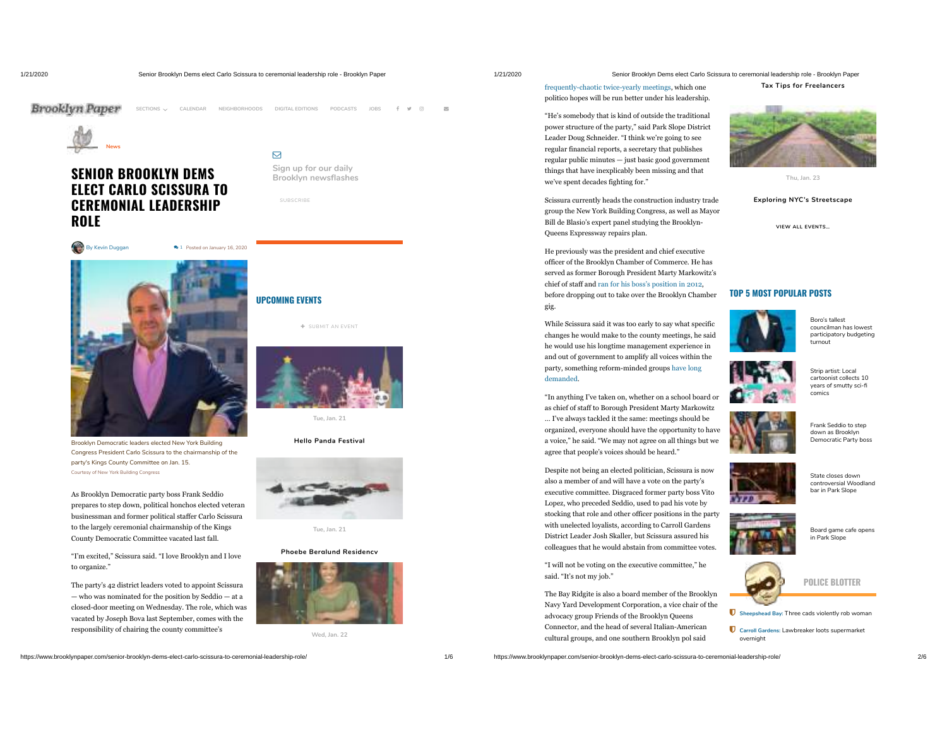**News**

**ROLE**

**Brooklyn Paper** 

**SENIOR BROOKLYN DEMS ELECT CARLO SCISSURA TO CEREMONIAL LEADERSHIP**

By Kevin Duggan **1** Posted on January 16, 2020

Brooklyn Democratic leaders elected New York Building Congress President Carlo Scissura to the chairmanship of the

As Brooklyn Democratic party boss Frank Seddio prepares to step down, political honchos elected veteran businessman and former political staffer Carlo Scissura to the largely ceremonial chairmanship of the Kings County Democratic Committee vacated last fall. "I'm excited," Scissura said. "I love Brooklyn and I love

party's Kings County Committee on Jan. 15. Courtesy of New York Building Congress

to organize."

 $\triangleright$ 

## 1/21/2020 Senior Brooklyn Dems elect Carlo Scissura to ceremonial leadership role - Brooklyn Paper

frequently-chaotic twice-yearly meetings, which one politico hopes will be run better under his leadership. "He's somebody that is kind of outside the traditional power structure of the party," said Park Slope District Leader Doug Schneider. "I think we're going to see regular financial reports, a secretary that publishes regular public minutes — just basic good government things that have inexplicably been missing and that

Scissura currently heads the construction industry trade group the New York Building Congress, as well as Mayor Bill de Blasio's expert panel studying the Brooklyn-

He previously was the president and chief executive officer of the Brooklyn Chamber of Commerce. He has served as former Borough President Marty Markowitz's chief of staff and ran for his boss's position in 2012, before dropping out to take over the Brooklyn Chamber

While Scissura said it was too early to say what specific changes he would make to the county meetings, he said he would use his longtime management experience in and out of government to amplify all voices within the party, something reform-minded groups have long

"In anything I've taken on, whether on a school board or as chief of staff to Borough President Marty Markowitz … I've always tackled it the same: meetings should be organized, everyone should have the opportunity to have a voice," he said. "We may not agree on all things but we agree that people's voices should be heard."

Despite not being an elected politician, Scissura is now also a member of and will have a vote on the party's executive committee. Disgraced former party boss Vito Lopez, who preceded Seddio, used to pad his vote by stocking that role and other officer positions in the party with unelected loyalists, according to Carroll Gardens District Leader Josh Skaller, but Scissura assured his colleagues that he would abstain from committee votes. "I will not be voting on the executive committee," he

we've spent decades fighting for."

Queens Expressway repairs plan.

gig.

demanded.

said. "It's not my job."

## **Tax Tips for Freelancers**

**Exploring NYC's Streetscape**

**VIEW ALL EVENTS…**

## **TOP 5 MOST POPULAR POSTS**



Boro's tallest councilman has lowest participatory budgeting turnout



Strip artist: Local cartoonist collects 10 years of smutty sci comics



down as Brooklyn Democratic Party boss

State closes down controversial Woodland bar in Park Slope



Board game cafe opens in Park Slope



**Sheepshead Bay:** Three cads violently rob woman

 **Carroll Gardens:** Lawbreaker loots supermarket overnight

**Sign up for our daily Brooklyn** newsflashes

**SUBSCRIBE** 

**SECTIONS** ⌵ **CALENDAR NEIGHBORHOODS DIGITAL EDITIONS PODCASTS JOBS**



**Tue, Jan. 21**



**Tue, Jan. 21**

## **Phoebe Berglund Residency**



**Wed, Jan. 22**

https://www.brooklynpaper.com/senior-brooklyn-dems-elect-carlo-scissura-to-ceremonial-leadership-role/ 1/6

The party's 42 district leaders voted to appoint Scissura — who was nominated for the position by Seddio — at a closed-door meeting on Wednesday. The role, which was vacated by Joseph Bova last September, comes with the responsibility of chairing the county committee's

https://www.brooklynpaper.com/senior-brooklyn-dems-elect-carlo-scissura-to-ceremonial-leadership-role/ 2/6 cultural groups, and one southern Brooklyn pol said

The Bay Ridgite is also a board member of the Brooklyn Navy Yard Development Corporation, a vice chair of the advocacy group Friends of the Brooklyn Queens Connector, and the head of several Italian-American



# **UPCOMING EVENTS**

SUBMIT AN EVENT



**Hello Panda Festival**